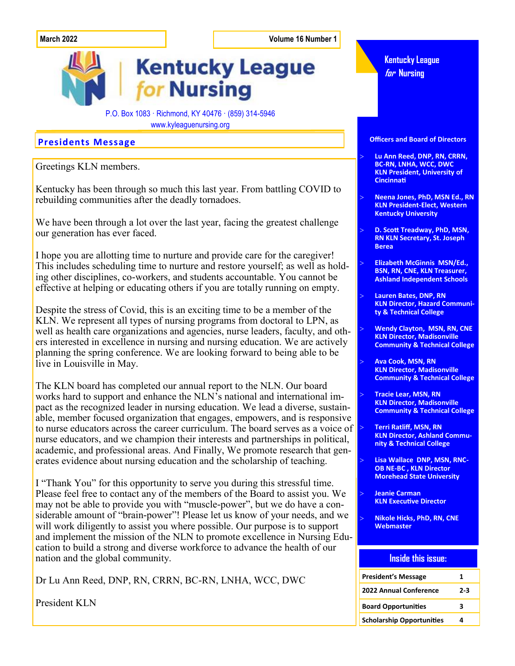**March 2022 Volume 16 Number 1**

## **Kentucky League** for Nursing

P.O. Box 1083 · Richmond, KY 40476 · (859) 314-5946 www.kyleaguenursing.org

Greetings KLN members.

Kentucky has been through so much this last year. From battling COVID to rebuilding communities after the deadly tornadoes.

We have been through a lot over the last year, facing the greatest challenge our generation has ever faced.

I hope you are allotting time to nurture and provide care for the caregiver! This includes scheduling time to nurture and restore yourself; as well as holding other disciplines, co-workers, and students accountable. You cannot be effective at helping or educating others if you are totally running on empty.

Despite the stress of Covid, this is an exciting time to be a member of the KLN. We represent all types of nursing programs from doctoral to LPN, as well as health care organizations and agencies, nurse leaders, faculty, and others interested in excellence in nursing and nursing education. We are actively planning the spring conference. We are looking forward to being able to be live in Louisville in May.

The KLN board has completed our annual report to the NLN. Our board works hard to support and enhance the NLN's national and international impact as the recognized leader in nursing education. We lead a diverse, sustainable, member focused organization that engages, empowers, and is responsive to nurse educators across the career curriculum. The board serves as a voice of nurse educators, and we champion their interests and partnerships in political, academic, and professional areas. And Finally, We promote research that generates evidence about nursing education and the scholarship of teaching.

I "Thank You" for this opportunity to serve you during this stressful time. Please feel free to contact any of the members of the Board to assist you. We may not be able to provide you with "muscle-power", but we do have a considerable amount of "brain-power"! Please let us know of your needs, and we will work diligently to assist you where possible. Our purpose is to support and implement the mission of the NLN to promote excellence in Nursing Education to build a strong and diverse workforce to advance the health of our nation and the global community.

Dr Lu Ann Reed, DNP, RN, CRRN, BC-RN, LNHA, WCC, DWC

President KLN



 **Jeanie Carman KLN Executive Director**

**Morehead State University**

 **Nikole Hicks, PhD, RN, CNE Webmaster**

#### **Inside this issue:**

| <b>President's Message</b>       |     |
|----------------------------------|-----|
| <b>2022 Annual Conference</b>    | 2-3 |
| <b>Board Opportunities</b>       | ર   |
| <b>Scholarship Opportunities</b> |     |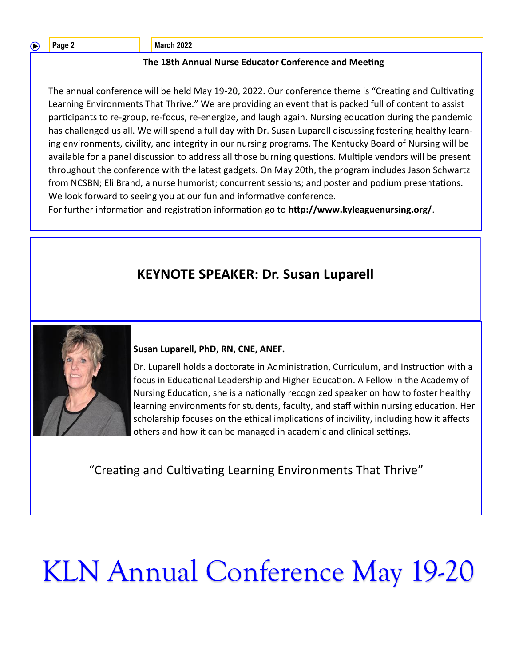**Page 2 March 2022** 

#### **The 18th Annual Nurse Educator Conference and Meeting**

The annual conference will be held May 19-20, 2022. Our conference theme is "Creating and Cultivating Learning Environments That Thrive." We are providing an event that is packed full of content to assist participants to re-group, re-focus, re-energize, and laugh again. Nursing education during the pandemic has challenged us all. We will spend a full day with Dr. Susan Luparell discussing fostering healthy learning environments, civility, and integrity in our nursing programs. The Kentucky Board of Nursing will be available for a panel discussion to address all those burning questions. Multiple vendors will be present throughout the conference with the latest gadgets. On May 20th, the program includes Jason Schwartz from NCSBN; Eli Brand, a nurse humorist; concurrent sessions; and poster and podium presentations. We look forward to seeing you at our fun and informative conference.

For further information and registration information go to **http://www.kyleaguenursing.org/**.

## **KEYNOTE SPEAKER: Dr. Susan Luparell**



**Susan Luparell, PhD, RN, CNE, ANEF.** 

Dr. Luparell holds a doctorate in Administration, Curriculum, and Instruction with a focus in Educational Leadership and Higher Education. A Fellow in the Academy of Nursing Education, she is a nationally recognized speaker on how to foster healthy learning environments for students, faculty, and staff within nursing education. Her scholarship focuses on the ethical implications of incivility, including how it affects others and how it can be managed in academic and clinical settings.

"Creating and Cultivating Learning Environments That Thrive"

# KLN Annual Conference May 19-20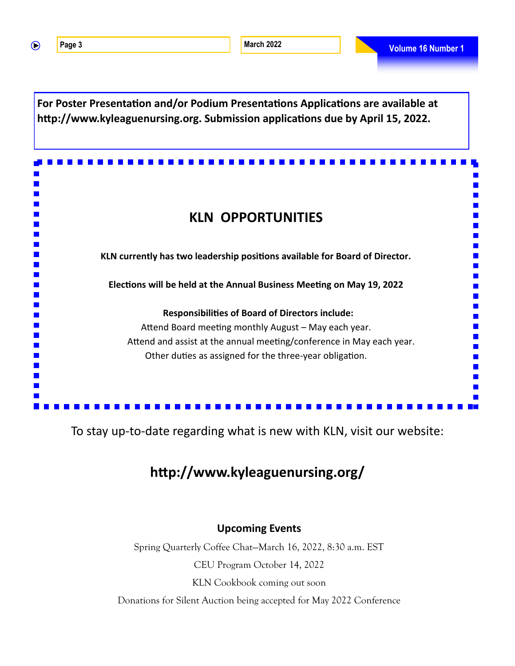**For Poster Presentation and/or Podium Presentations Applications are available at http://www.kyleaguenursing.org. Submission applications due by April 15, 2022.** 

## **KLN OPPORTUNITIES**

**KLN currently has two leadership positions available for Board of Director.** 

**Elections will be held at the Annual Business Meeting on May 19, 2022**

#### **Responsibilities of Board of Directors include:**

Attend Board meeting monthly August – May each year. Attend and assist at the annual meeting/conference in May each year. Other duties as assigned for the three-year obligation.

## To stay up-to-date regarding what is new with KLN, visit our website:

## **http://www.kyleaguenursing.org/**

### **Upcoming Events**

Spring Quarterly Coffee Chat—March 16, 2022, 8:30 a.m. EST CEU Program October 14, 2022 KLN Cookbook coming out soon

Donations for Silent Auction being accepted for May 2022 Conference